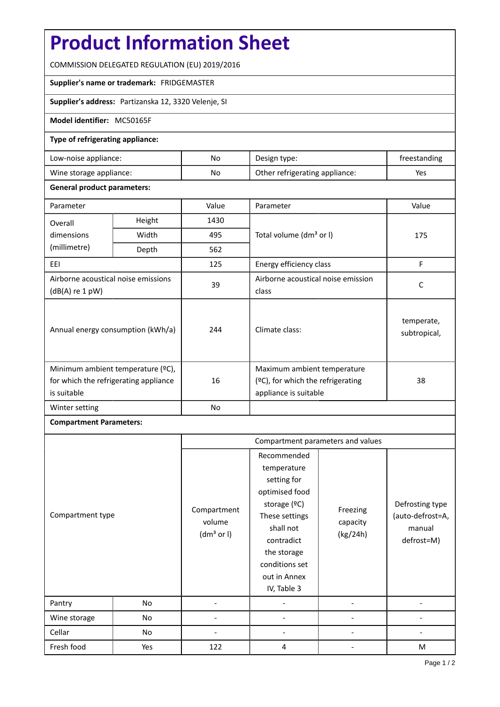# **Product Information Sheet**

COMMISSION DELEGATED REGULATION (EU) 2019/2016

### **Supplier's name or trademark:** FRIDGEMASTER

## **Supplier's address:** Partizanska 12, 3320 Velenje, SI

### **Model identifier:** MC50165F

### **Type of refrigerating appliance:**

| Low-noise appliance:    | No | Design type:                   | freestanding |
|-------------------------|----|--------------------------------|--------------|
| Wine storage appliance: | No | Other refrigerating appliance: | Yes          |

#### **General product parameters:**

| Parameter                                                                                 |       | Value | Parameter                                                                                    | Value                      |
|-------------------------------------------------------------------------------------------|-------|-------|----------------------------------------------------------------------------------------------|----------------------------|
| Height<br>Overall                                                                         |       | 1430  |                                                                                              |                            |
| dimensions                                                                                | Width | 495   | Total volume (dm <sup>3</sup> or I)                                                          | 175                        |
| (millimetre)                                                                              | Depth | 562   |                                                                                              |                            |
| EEI                                                                                       |       | 125   | Energy efficiency class                                                                      | F                          |
| Airborne acoustical noise emissions<br>$(dB(A)$ re 1 pW)                                  |       | 39    | Airborne acoustical noise emission<br>class                                                  | C                          |
| Annual energy consumption (kWh/a)                                                         |       | 244   | Climate class:                                                                               | temperate,<br>subtropical, |
| Minimum ambient temperature (°C),<br>for which the refrigerating appliance<br>is suitable |       | 16    | Maximum ambient temperature<br>$(°C)$ , for which the refrigerating<br>appliance is suitable | 38                         |
| Winter setting                                                                            |       | No    |                                                                                              |                            |

## **Compartment Parameters:**

|                  |     | Compartment parameters and values               |                                                                                                                                                                                          |                                  |                                                             |
|------------------|-----|-------------------------------------------------|------------------------------------------------------------------------------------------------------------------------------------------------------------------------------------------|----------------------------------|-------------------------------------------------------------|
| Compartment type |     | Compartment<br>volume<br>(dm <sup>3</sup> or I) | Recommended<br>temperature<br>setting for<br>optimised food<br>storage (°C)<br>These settings<br>shall not<br>contradict<br>the storage<br>conditions set<br>out in Annex<br>IV, Table 3 | Freezing<br>capacity<br>(kg/24h) | Defrosting type<br>(auto-defrost=A,<br>manual<br>defrost=M) |
| Pantry           | No  |                                                 |                                                                                                                                                                                          |                                  |                                                             |
| Wine storage     | No  |                                                 |                                                                                                                                                                                          |                                  |                                                             |
| Cellar           | No  |                                                 |                                                                                                                                                                                          |                                  |                                                             |
| Fresh food       | Yes | 122                                             | 4                                                                                                                                                                                        |                                  | M                                                           |